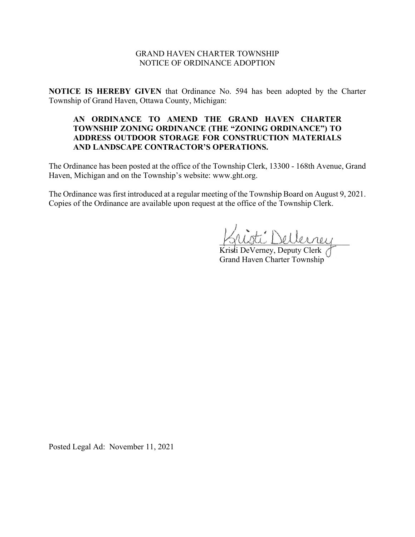## GRAND HAVEN CHARTER TOWNSHIP NOTICE OF ORDINANCE ADOPTION

**NOTICE IS HEREBY GIVEN** that Ordinance No. 594 has been adopted by the Charter Township of Grand Haven, Ottawa County, Michigan:

# **AN ORDINANCE TO AMEND THE GRAND HAVEN CHARTER TOWNSHIP ZONING ORDINANCE (THE "ZONING ORDINANCE") TO ADDRESS OUTDOOR STORAGE FOR CONSTRUCTION MATERIALS AND LANDSCAPE CONTRACTOR'S OPERATIONS.**

The Ordinance has been posted at the office of the Township Clerk, 13300 - 168th Avenue, Grand Haven, Michigan and on the Township's website: www.ght.org.

The Ordinance was first introduced at a regular meeting of the Township Board on August 9, 2021. Copies of the Ordinance are available upon request at the office of the Township Clerk.

\_\_\_\_\_\_\_\_\_\_\_\_\_\_\_\_\_\_\_\_\_\_\_\_\_\_\_\_\_\_\_\_

Kristi DeVerney, Deputy Clerk Grand Haven Charter Township

Posted Legal Ad: November 11, 2021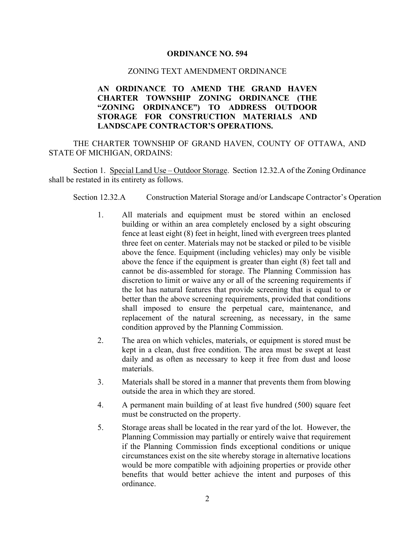### **ORDINANCE NO. 594**

#### ZONING TEXT AMENDMENT ORDINANCE

# **AN ORDINANCE TO AMEND THE GRAND HAVEN CHARTER TOWNSHIP ZONING ORDINANCE (THE "ZONING ORDINANCE") TO ADDRESS OUTDOOR STORAGE FOR CONSTRUCTION MATERIALS AND LANDSCAPE CONTRACTOR'S OPERATIONS.**

THE CHARTER TOWNSHIP OF GRAND HAVEN, COUNTY OF OTTAWA, AND STATE OF MICHIGAN, ORDAINS:

Section 1. Special Land Use – Outdoor Storage. Section 12.32.A of the Zoning Ordinance shall be restated in its entirety as follows.

Section 12.32.A Construction Material Storage and/or Landscape Contractor's Operation

- 1. All materials and equipment must be stored within an enclosed building or within an area completely enclosed by a sight obscuring fence at least eight (8) feet in height, lined with evergreen trees planted three feet on center. Materials may not be stacked or piled to be visible above the fence. Equipment (including vehicles) may only be visible above the fence if the equipment is greater than eight (8) feet tall and cannot be dis-assembled for storage. The Planning Commission has discretion to limit or waive any or all of the screening requirements if the lot has natural features that provide screening that is equal to or better than the above screening requirements, provided that conditions shall imposed to ensure the perpetual care, maintenance, and replacement of the natural screening, as necessary, in the same condition approved by the Planning Commission.
- 2. The area on which vehicles, materials, or equipment is stored must be kept in a clean, dust free condition. The area must be swept at least daily and as often as necessary to keep it free from dust and loose materials.
- 3. Materials shall be stored in a manner that prevents them from blowing outside the area in which they are stored.
- 4. A permanent main building of at least five hundred (500) square feet must be constructed on the property.
- 5. Storage areas shall be located in the rear yard of the lot. However, the Planning Commission may partially or entirely waive that requirement if the Planning Commission finds exceptional conditions or unique circumstances exist on the site whereby storage in alternative locations would be more compatible with adjoining properties or provide other benefits that would better achieve the intent and purposes of this ordinance.